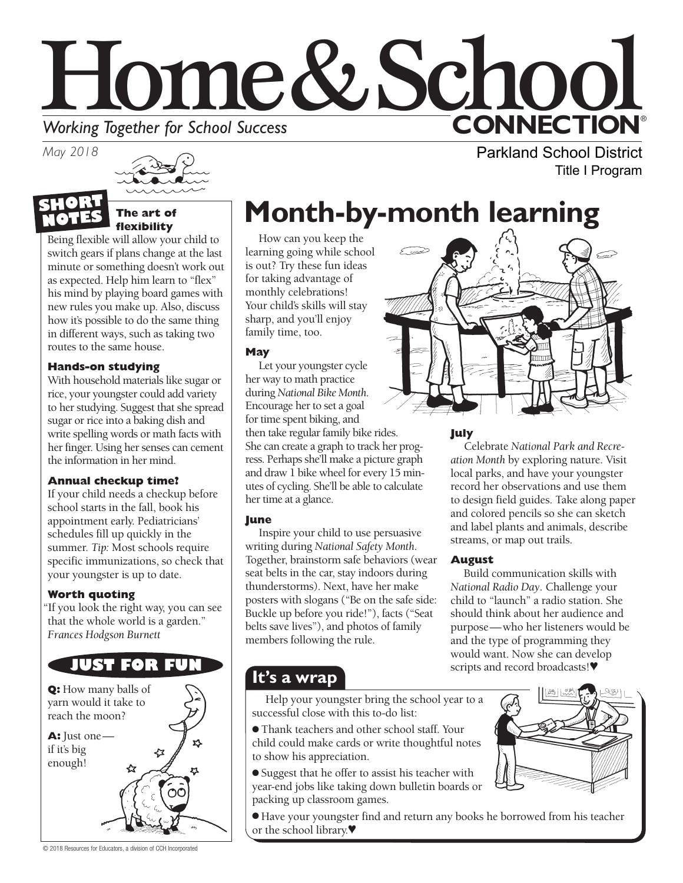# Home&Schoo **CONNECTION® Working Together for School Success**<br>May 2018

*May 2018*



### **The art of flexibility NOTES**

Being flexible will allow your child to switch gears if plans change at the last minute or something doesn't work out as expected. Help him learn to "flex" his mind by playing board games with new rules you make up. Also, discuss how it's possible to do the same thing in different ways, such as taking two routes to the same house.

## **Hands-on studying**

With household materials like sugar or rice, your youngster could add variety to her studying. Suggest that she spread sugar or rice into a baking dish and write spelling words or math facts with her finger. Using her senses can cement the information in her mind.

## **Annual checkup time?**

If your child needs a checkup before school starts in the fall, book his appointment early. Pediatricians' schedules fill up quickly in the summer. *Tip:* Most schools require specific immunizations, so check that your youngster is up to date*.*

## **Worth quoting**

"If you look the right way, you can see that the whole world is a garden." *Frances Hodgson Burnett*



## **Month-by-month learning**

How can you keep the learning going while school is out? Try these fun ideas for taking advantage of monthly celebrations! Your child's skills will stay sharp, and you'll enjoy family time, too.

## **May**

Let your youngster cycle her way to math practice during *National Bike Month*. Encourage her to set a goal for time spent biking, and then take regular family bike rides. She can create a graph to track her progress. Perhaps she'll make a picture graph and draw 1 bike wheel for every 15 minutes of cycling. She'll be able to calculate her time at a glance.

## **June**

Inspire your child to use persuasive writing during *National Safety Month*. Together, brainstorm safe behaviors (wear seat belts in the car, stay indoors during thunderstorms). Next, have her make posters with slogans ("Be on the safe side: Buckle up before you ride!"), facts ("Seat belts save lives"), and photos of family members following the rule.

### **July**

Celebrate *National Park and Recreation Month* by exploring nature. Visit local parks, and have your youngster record her observations and use them to design field guides. Take along paper and colored pencils so she can sketch and label plants and animals, describe streams, or map out trails.

Parkland School District

Title I Program

## **August**

Build communication skills with *National Radio Day*. Challenge your child to "launch" a radio station. She should think about her audience and purpose—who her listeners would be and the type of programming they would want. Now she can develop scripts and record broadcasts!♥

Help your youngster bring the school year to a successful close with this to-do list:

- Thank teachers and other school staff. Your child could make cards or write thoughtful notes to show his appreciation.
- Suggest that he offer to assist his teacher with year-end jobs like taking down bulletin boards or packing up classroom games.
- 
- Have your youngster find and return any books he borrowed from his teacher or the school library.♥

© 2018 Resources for Educators, a division of CCH Incorporated